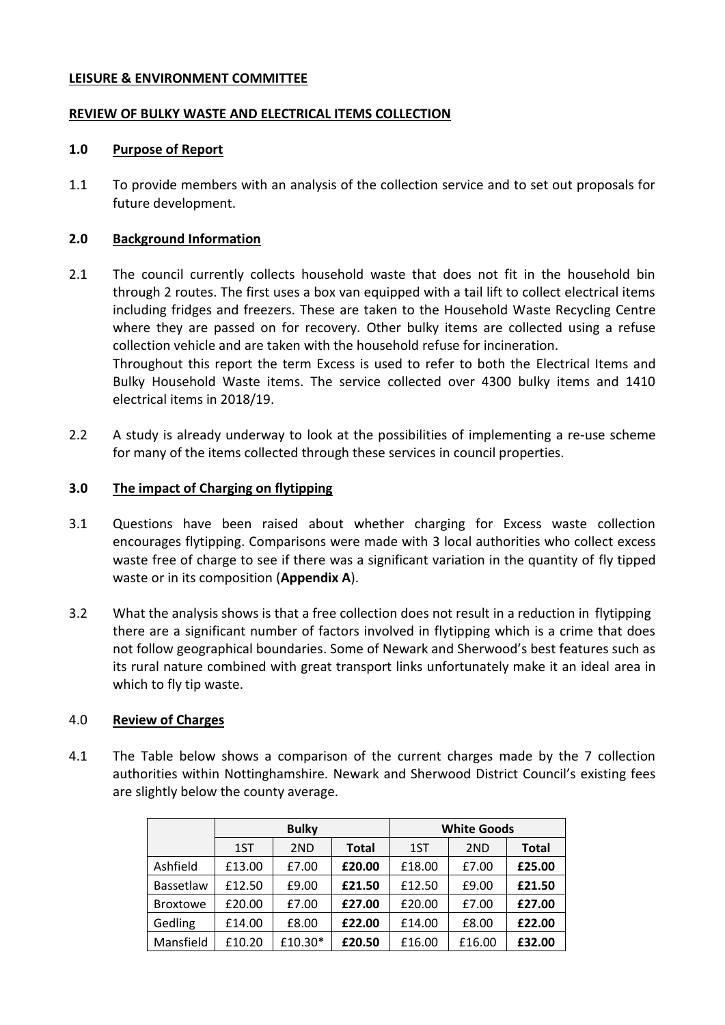#### **LEISURE & ENVIRONMENT COMMITTEE**

### **REVIEW OF BULKY WASTE AND ELECTRICAL ITEMS COLLECTION**

#### **1.0 Purpose of Report**

1.1 To provide members with an analysis of the collection service and to set out proposals for future development.

#### **2.0 Background Information**

- 2.1 The council currently collects household waste that does not fit in the household bin through 2 routes. The first uses a box van equipped with a tail lift to collect electrical items including fridges and freezers. These are taken to the Household Waste Recycling Centre where they are passed on for recovery. Other bulky items are collected using a refuse collection vehicle and are taken with the household refuse for incineration. Throughout this report the term Excess is used to refer to both the Electrical Items and Bulky Household Waste items. The service collected over 4300 bulky items and 1410 electrical items in 2018/19.
- 2.2 A study is already underway to look at the possibilities of implementing a re-use scheme for many of the items collected through these services in council properties.

#### **3.0 The impact of Charging on flytipping**

- 3.1 Questions have been raised about whether charging for Excess waste collection encourages flytipping. Comparisons were made with 3 local authorities who collect excess waste free of charge to see if there was a significant variation in the quantity of fly tipped waste or in its composition (**Appendix A**).
- 3.2 What the analysis shows is that a free collection does not result in a reduction in flytipping there are a significant number of factors involved in flytipping which is a crime that does not follow geographical boundaries. Some of Newark and Sherwood's best features such as its rural nature combined with great transport links unfortunately make it an ideal area in which to fly tip waste.

#### 4.0 **Review of Charges**

4.1 The Table below shows a comparison of the current charges made by the 7 collection authorities within Nottinghamshire. Newark and Sherwood District Council's existing fees are slightly below the county average.

|                 | <b>Bulky</b> |         |              | <b>White Goods</b> |                 |              |
|-----------------|--------------|---------|--------------|--------------------|-----------------|--------------|
|                 | 1ST          | 2ND     | <b>Total</b> | 1ST                | 2 <sub>ND</sub> | <b>Total</b> |
| Ashfield        | £13.00       | £7.00   | £20.00       | £18.00             | £7.00           | £25.00       |
| Bassetlaw       | £12.50       | £9.00   | £21.50       | £12.50             | £9.00           | £21.50       |
| <b>Broxtowe</b> | £20.00       | £7.00   | £27.00       | £20.00             | £7.00           | £27.00       |
| Gedling         | £14.00       | £8.00   | £22.00       | £14.00             | £8.00           | £22.00       |
| Mansfield       | £10.20       | £10.30* | £20.50       | £16.00             | £16.00          | £32.00       |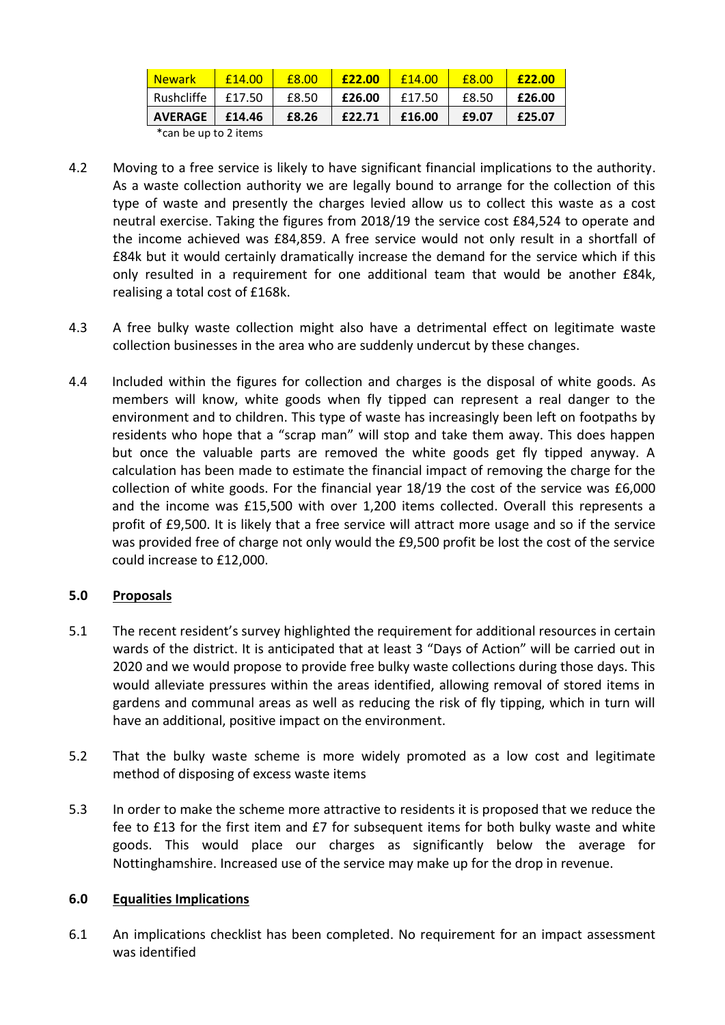| <b>Newark</b>    | f14.00 | £8.00 | £22.00 | f14.00 | £8.00 | <b>£22.00</b> |
|------------------|--------|-------|--------|--------|-------|---------------|
| Rushcliffe       | £17.50 | £8.50 | £26.00 | £17.50 | £8.50 | £26.00        |
| AVERAGE   £14.46 |        | £8.26 | £22.71 | £16.00 | £9.07 | £25.07        |
|                  |        |       |        |        |       |               |

\*can be up to 2 items

- 4.2 Moving to a free service is likely to have significant financial implications to the authority. As a waste collection authority we are legally bound to arrange for the collection of this type of waste and presently the charges levied allow us to collect this waste as a cost neutral exercise. Taking the figures from 2018/19 the service cost £84,524 to operate and the income achieved was £84,859. A free service would not only result in a shortfall of £84k but it would certainly dramatically increase the demand for the service which if this only resulted in a requirement for one additional team that would be another £84k, realising a total cost of £168k.
- 4.3 A free bulky waste collection might also have a detrimental effect on legitimate waste collection businesses in the area who are suddenly undercut by these changes.
- 4.4 Included within the figures for collection and charges is the disposal of white goods. As members will know, white goods when fly tipped can represent a real danger to the environment and to children. This type of waste has increasingly been left on footpaths by residents who hope that a "scrap man" will stop and take them away. This does happen but once the valuable parts are removed the white goods get fly tipped anyway. A calculation has been made to estimate the financial impact of removing the charge for the collection of white goods. For the financial year 18/19 the cost of the service was £6,000 and the income was £15,500 with over 1,200 items collected. Overall this represents a profit of £9,500. It is likely that a free service will attract more usage and so if the service was provided free of charge not only would the £9,500 profit be lost the cost of the service could increase to £12,000.

## **5.0 Proposals**

- 5.1 The recent resident's survey highlighted the requirement for additional resources in certain wards of the district. It is anticipated that at least 3 "Days of Action" will be carried out in 2020 and we would propose to provide free bulky waste collections during those days. This would alleviate pressures within the areas identified, allowing removal of stored items in gardens and communal areas as well as reducing the risk of fly tipping, which in turn will have an additional, positive impact on the environment.
- 5.2 That the bulky waste scheme is more widely promoted as a low cost and legitimate method of disposing of excess waste items
- 5.3 In order to make the scheme more attractive to residents it is proposed that we reduce the fee to £13 for the first item and £7 for subsequent items for both bulky waste and white goods. This would place our charges as significantly below the average for Nottinghamshire. Increased use of the service may make up for the drop in revenue.

### **6.0 Equalities Implications**

6.1 An implications checklist has been completed. No requirement for an impact assessment was identified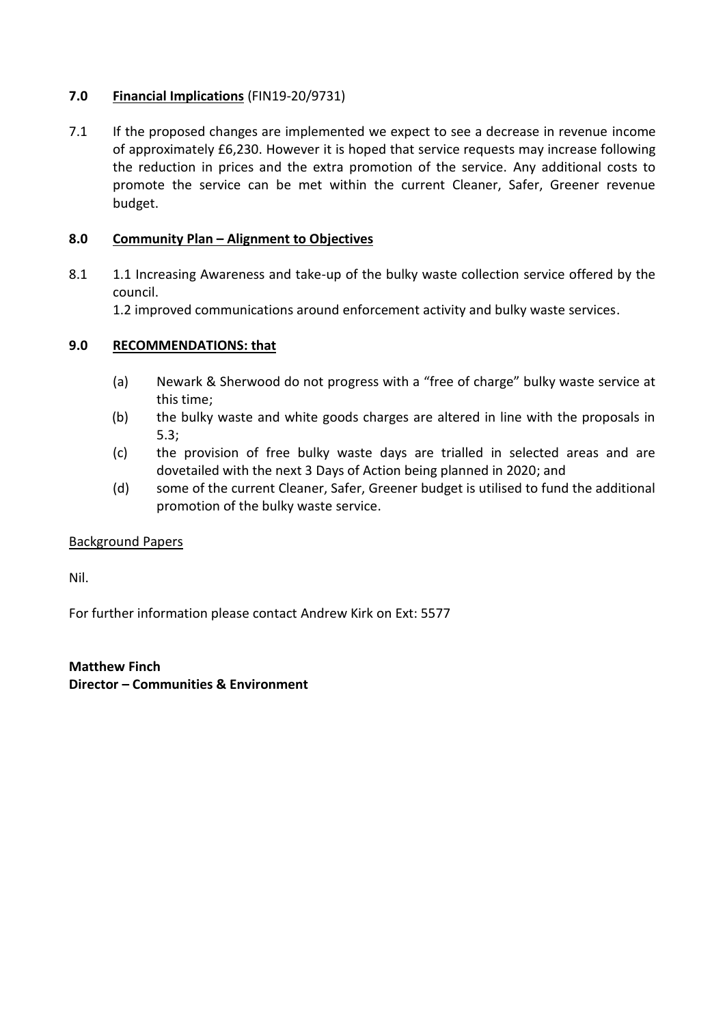## **7.0 Financial Implications** (FIN19-20/9731)

7.1 If the proposed changes are implemented we expect to see a decrease in revenue income of approximately £6,230. However it is hoped that service requests may increase following the reduction in prices and the extra promotion of the service. Any additional costs to promote the service can be met within the current Cleaner, Safer, Greener revenue budget.

## **8.0 Community Plan – Alignment to Objectives**

8.1 1.1 Increasing Awareness and take-up of the bulky waste collection service offered by the council.

1.2 improved communications around enforcement activity and bulky waste services.

## **9.0 RECOMMENDATIONS: that**

- (a) Newark & Sherwood do not progress with a "free of charge" bulky waste service at this time;
- (b) the bulky waste and white goods charges are altered in line with the proposals in 5.3;
- (c) the provision of free bulky waste days are trialled in selected areas and are dovetailed with the next 3 Days of Action being planned in 2020; and
- (d) some of the current Cleaner, Safer, Greener budget is utilised to fund the additional promotion of the bulky waste service.

### Background Papers

Nil.

For further information please contact Andrew Kirk on Ext: 5577

**Matthew Finch Director – Communities & Environment**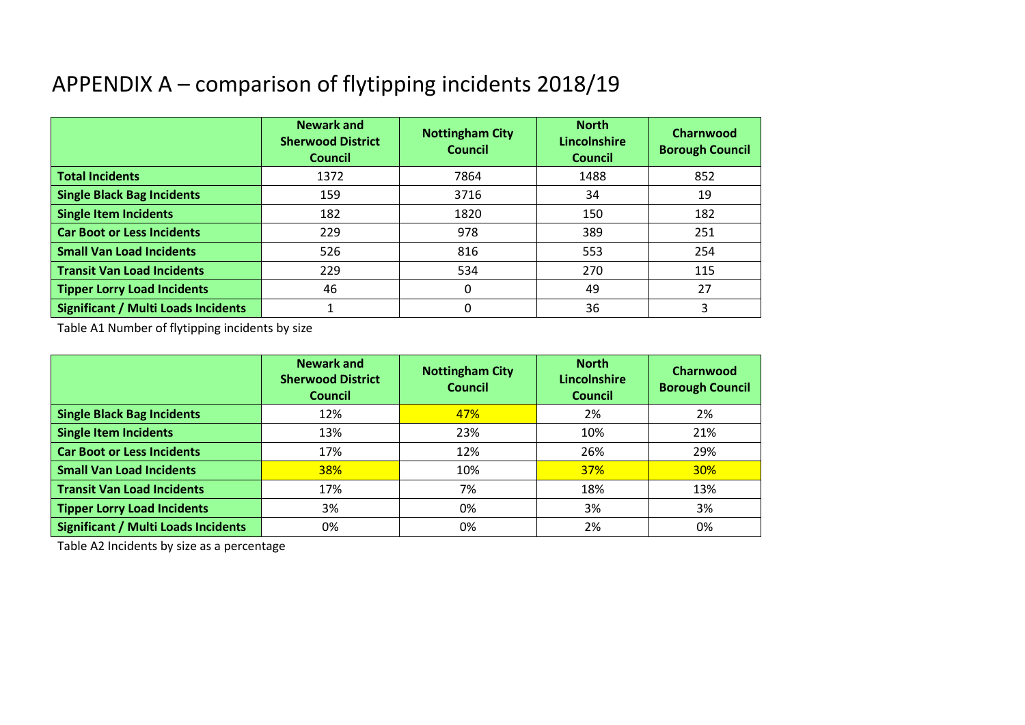# APPENDIX A – comparison of flytipping incidents 2018/19

|                                            | <b>Newark and</b><br><b>Sherwood District</b><br><b>Council</b> | <b>Nottingham City</b><br><b>Council</b> | <b>North</b><br>Lincolnshire<br><b>Council</b> | Charnwood<br><b>Borough Council</b> |
|--------------------------------------------|-----------------------------------------------------------------|------------------------------------------|------------------------------------------------|-------------------------------------|
| <b>Total Incidents</b>                     | 1372                                                            | 7864                                     | 1488                                           | 852                                 |
| <b>Single Black Bag Incidents</b>          | 159                                                             | 3716                                     | 34                                             | 19                                  |
| <b>Single Item Incidents</b>               | 182                                                             | 1820                                     | 150                                            | 182                                 |
| <b>Car Boot or Less Incidents</b>          | 229                                                             | 978                                      | 389                                            | 251                                 |
| <b>Small Van Load Incidents</b>            | 526                                                             | 816                                      | 553                                            | 254                                 |
| <b>Transit Van Load Incidents</b>          | 229                                                             | 534                                      | 270                                            | 115                                 |
| <b>Tipper Lorry Load Incidents</b>         | 46                                                              | 0                                        | 49                                             | 27                                  |
| <b>Significant / Multi Loads Incidents</b> |                                                                 | 0                                        | 36                                             |                                     |

Table A1 Number of flytipping incidents by size

|                                            | <b>Newark and</b><br><b>Sherwood District</b><br><b>Council</b> | <b>Nottingham City</b><br><b>Council</b> | <b>North</b><br><b>Lincolnshire</b><br><b>Council</b> | Charnwood<br><b>Borough Council</b> |
|--------------------------------------------|-----------------------------------------------------------------|------------------------------------------|-------------------------------------------------------|-------------------------------------|
| <b>Single Black Bag Incidents</b>          | 12%                                                             | 47%                                      | 2%                                                    | 2%                                  |
| <b>Single Item Incidents</b>               | 13%                                                             | 23%                                      | 10%                                                   | 21%                                 |
| <b>Car Boot or Less Incidents</b>          | 17%                                                             | 12%                                      | 26%                                                   | 29%                                 |
| <b>Small Van Load Incidents</b>            | <b>38%</b>                                                      | 10%                                      | <b>37%</b>                                            | <b>30%</b>                          |
| <b>Transit Van Load Incidents</b>          | 17%                                                             | 7%                                       | 18%                                                   | 13%                                 |
| <b>Tipper Lorry Load Incidents</b>         | 3%                                                              | 0%                                       | 3%                                                    | 3%                                  |
| <b>Significant / Multi Loads Incidents</b> | 0%                                                              | 0%                                       | 2%                                                    | 0%                                  |

Table A2 Incidents by size as a percentage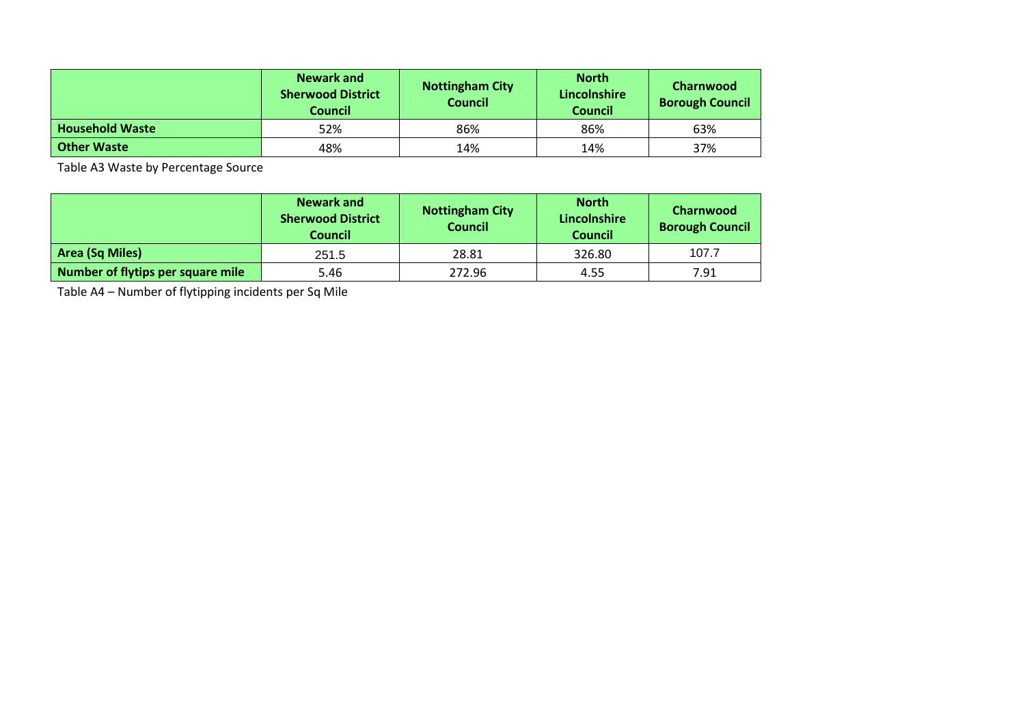|                        | Newark and<br><b>Sherwood District</b><br><b>Council</b> | <b>Nottingham City</b><br><b>Council</b> | <b>North</b><br>Lincolnshire<br><b>Council</b> | <b>Charnwood</b><br><b>Borough Council</b> |
|------------------------|----------------------------------------------------------|------------------------------------------|------------------------------------------------|--------------------------------------------|
| <b>Household Waste</b> | 52%                                                      | 86%                                      | 86%                                            | 63%                                        |
| <b>Other Waste</b>     | 48%                                                      | 14%                                      | 14%                                            | 37%                                        |

Table A3 Waste by Percentage Source

|                                   | Newark and<br><b>Sherwood District</b><br><b>Council</b> | <b>Nottingham City</b><br><b>Council</b> | <b>North</b><br>Lincolnshire<br><b>Council</b> | Charnwood<br><b>Borough Council</b> |
|-----------------------------------|----------------------------------------------------------|------------------------------------------|------------------------------------------------|-------------------------------------|
| Area (Sq Miles)                   | 251.5                                                    | 28.81                                    | 326.80                                         | 107.7                               |
| Number of flytips per square mile | 5.46                                                     | 272.96                                   | 4.55                                           | 7.91                                |

Table A4 – Number of flytipping incidents per Sq Mile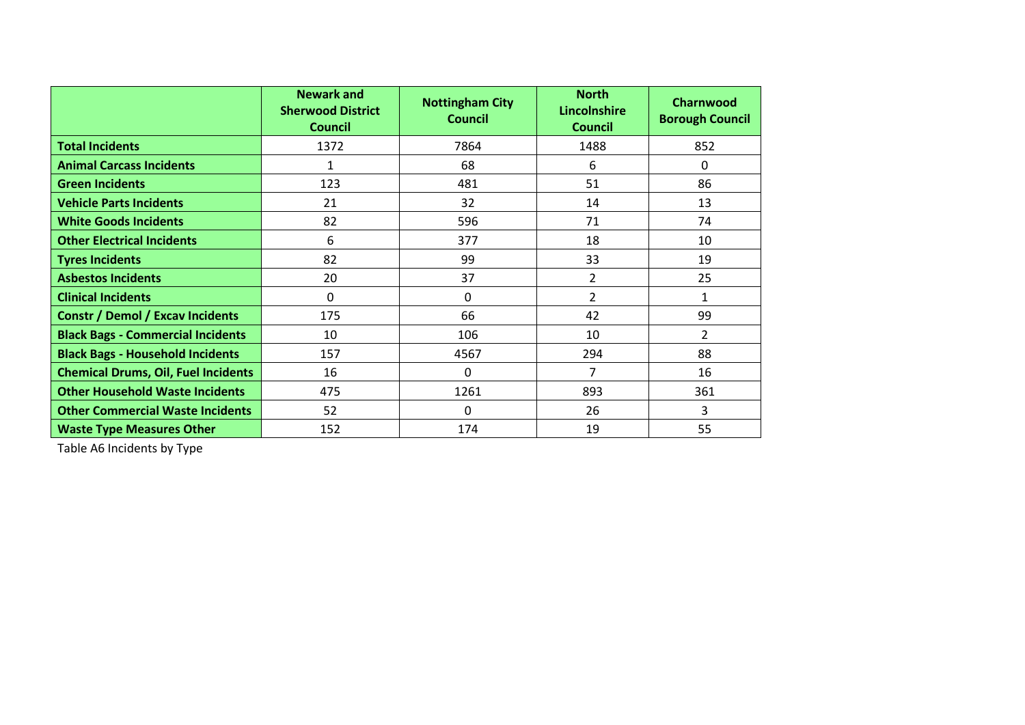|                                            | <b>Newark and</b><br><b>Sherwood District</b><br><b>Council</b> | <b>Nottingham City</b><br><b>Council</b> | <b>North</b><br>Lincolnshire<br><b>Council</b> | Charnwood<br><b>Borough Council</b> |
|--------------------------------------------|-----------------------------------------------------------------|------------------------------------------|------------------------------------------------|-------------------------------------|
| <b>Total Incidents</b>                     | 1372                                                            | 7864                                     | 1488                                           | 852                                 |
| <b>Animal Carcass Incidents</b>            | 1                                                               | 68                                       | 6                                              | $\Omega$                            |
| <b>Green Incidents</b>                     | 123                                                             | 481                                      | 51                                             | 86                                  |
| <b>Vehicle Parts Incidents</b>             | 21                                                              | 32                                       | 14                                             | 13                                  |
| <b>White Goods Incidents</b>               | 82                                                              | 596                                      | 71                                             | 74                                  |
| <b>Other Electrical Incidents</b>          | 6                                                               | 377                                      | 18                                             | 10                                  |
| <b>Tyres Incidents</b>                     | 82                                                              | 99                                       | 33                                             | 19                                  |
| <b>Asbestos Incidents</b>                  | 20                                                              | 37                                       | $\overline{2}$                                 | 25                                  |
| <b>Clinical Incidents</b>                  | 0                                                               | $\Omega$                                 | $\overline{2}$                                 | $\mathbf{1}$                        |
| <b>Constr / Demol / Excav Incidents</b>    | 175                                                             | 66                                       | 42                                             | 99                                  |
| <b>Black Bags - Commercial Incidents</b>   | 10                                                              | 106                                      | 10                                             | $\overline{2}$                      |
| <b>Black Bags - Household Incidents</b>    | 157                                                             | 4567                                     | 294                                            | 88                                  |
| <b>Chemical Drums, Oil, Fuel Incidents</b> | 16                                                              | $\Omega$                                 | 7                                              | 16                                  |
| <b>Other Household Waste Incidents</b>     | 475                                                             | 1261                                     | 893                                            | 361                                 |
| <b>Other Commercial Waste Incidents</b>    | 52                                                              | $\Omega$                                 | 26                                             | 3                                   |
| <b>Waste Type Measures Other</b>           | 152                                                             | 174                                      | 19                                             | 55                                  |

Table A6 Incidents by Type